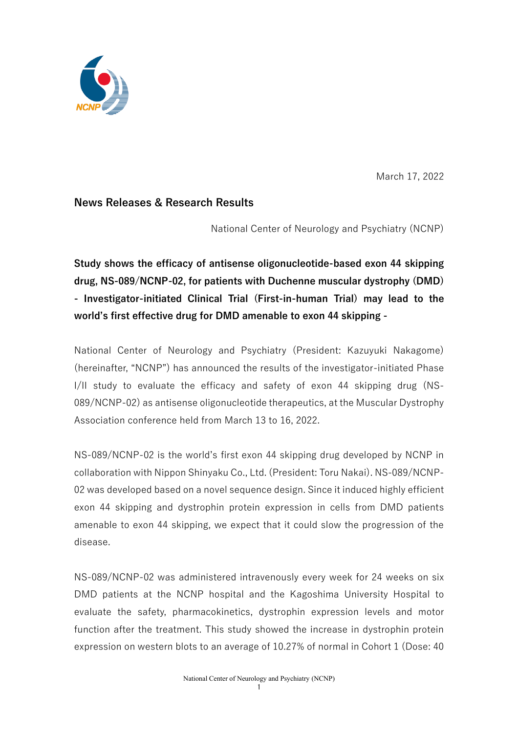

March 17, 2022

# **News Releases & Research Results**

National Center of Neurology and Psychiatry (NCNP)

**Study shows the efficacy of antisense oligonucleotide-based exon 44 skipping drug, NS-089/NCNP-02, for patients with Duchenne muscular dystrophy (DMD) - Investigator-initiated Clinical Trial (First-in-human Trial) may lead to the world's first effective drug for DMD amenable to exon 44 skipping -**

National Center of Neurology and Psychiatry (President: Kazuyuki Nakagome) (hereinafter, "NCNP") has announced the results of the investigator-initiated Phase I/II study to evaluate the efficacy and safety of exon 44 skipping drug (NS-089/NCNP-02) as antisense oligonucleotide therapeutics, at the Muscular Dystrophy Association conference held from March 13 to 16, 2022.

NS-089/NCNP-02 is the world's first exon 44 skipping drug developed by NCNP in collaboration with Nippon Shinyaku Co., Ltd. (President: Toru Nakai). NS-089/NCNP-02 was developed based on a novel sequence design. Since it induced highly efficient exon 44 skipping and dystrophin protein expression in cells from DMD patients amenable to exon 44 skipping, we expect that it could slow the progression of the disease.

NS-089/NCNP-02 was administered intravenously every week for 24 weeks on six DMD patients at the NCNP hospital and the Kagoshima University Hospital to evaluate the safety, pharmacokinetics, dystrophin expression levels and motor function after the treatment. This study showed the increase in dystrophin protein expression on western blots to an average of 10.27% of normal in Cohort 1 (Dose: 40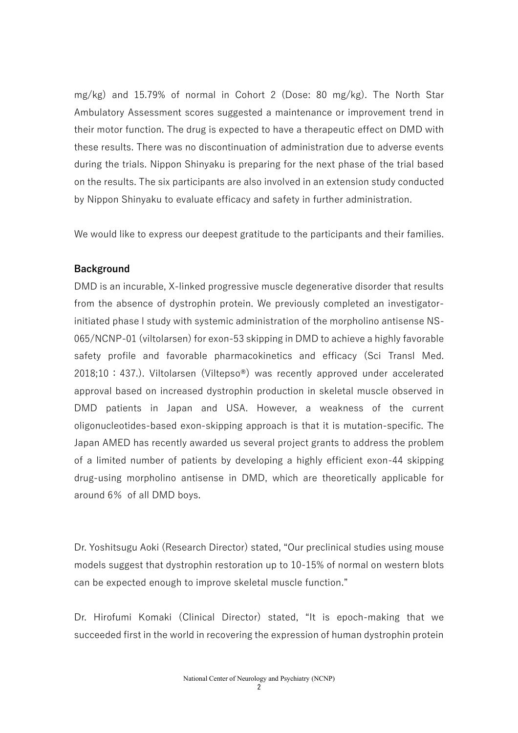mg/kg) and 15.79% of normal in Cohort 2 (Dose: 80 mg/kg). The North Star Ambulatory Assessment scores suggested a maintenance or improvement trend in their motor function. The drug is expected to have a therapeutic effect on DMD with these results. There was no discontinuation of administration due to adverse events during the trials. Nippon Shinyaku is preparing for the next phase of the trial based on the results. The six participants are also involved in an extension study conducted by Nippon Shinyaku to evaluate efficacy and safety in further administration.

We would like to express our deepest gratitude to the participants and their families.

#### **Background**

DMD is an incurable, X-linked progressive muscle degenerative disorder that results from the absence of dystrophin protein. We previously completed an investigatorinitiated phase I study with systemic administration of the morpholino antisense NS-065/NCNP-01 (viltolarsen) for exon-53 skipping in DMD to achieve a highly favorable safety profile and favorable pharmacokinetics and efficacy (Sci Transl Med. 2018;10:437.). Viltolarsen (Viltepso®) was recently approved under accelerated approval based on increased dystrophin production in skeletal muscle observed in DMD patients in Japan and USA. However, a weakness of the current oligonucleotides-based exon-skipping approach is that it is mutation-specific. The Japan AMED has recently awarded us several project grants to address the problem of a limited number of patients by developing a highly efficient exon-44 skipping drug-using morpholino antisense in DMD, which are theoretically applicable for around 6% of all DMD boys.

Dr. Yoshitsugu Aoki (Research Director) stated, "Our preclinical studies using mouse models suggest that dystrophin restoration up to 10-15% of normal on western blots can be expected enough to improve skeletal muscle function."

Dr. Hirofumi Komaki (Clinical Director) stated, "It is epoch-making that we succeeded first in the world in recovering the expression of human dystrophin protein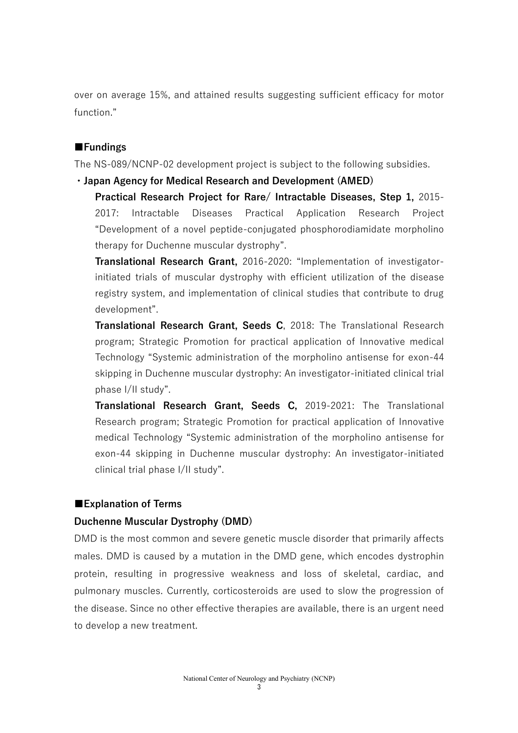over on average 15%, and attained results suggesting sufficient efficacy for motor function."

#### **■Fundings**

The NS-089/NCNP-02 development project is subject to the following subsidies.

**・Japan Agency for Medical Research and Development (AMED)** 

**Practical Research Project for Rare/ Intractable Diseases, Step 1,** 2015- 2017: Intractable Diseases Practical Application Research Project "Development of a novel peptide-conjugated phosphorodiamidate morpholino therapy for Duchenne muscular dystrophy".

**Translational Research Grant,** 2016-2020: "Implementation of investigatorinitiated trials of muscular dystrophy with efficient utilization of the disease registry system, and implementation of clinical studies that contribute to drug development".

**Translational Research Grant, Seeds C**, 2018: The Translational Research program; Strategic Promotion for practical application of Innovative medical Technology "Systemic administration of the morpholino antisense for exon-44 skipping in Duchenne muscular dystrophy: An investigator-initiated clinical trial phase I/II study".

**Translational Research Grant, Seeds C,** 2019-2021: The Translational Research program; Strategic Promotion for practical application of Innovative medical Technology "Systemic administration of the morpholino antisense for exon-44 skipping in Duchenne muscular dystrophy: An investigator-initiated clinical trial phase I/II study".

#### ■**Explanation of Terms**

#### **Duchenne Muscular Dystrophy (DMD)**

DMD is the most common and severe genetic muscle disorder that primarily affects males. DMD is caused by a mutation in the DMD gene, which encodes dystrophin protein, resulting in progressive weakness and loss of skeletal, cardiac, and pulmonary muscles. Currently, corticosteroids are used to slow the progression of the disease. Since no other effective therapies are available, there is an urgent need to develop a new treatment.